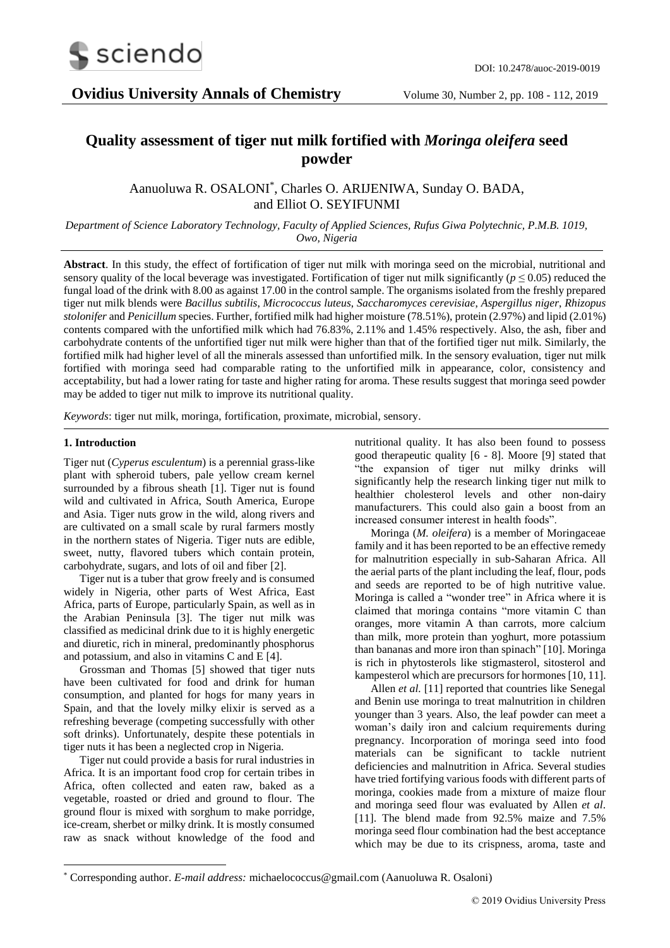

# **Quality assessment of tiger nut milk fortified with** *Moringa oleifera* **seed powder**

Aanuoluwa R. OSALONI\* , Charles O. ARIJENIWA, Sunday O. BADA, and Elliot O. SEYIFUNMI

*Department of Science Laboratory Technology, Faculty of Applied Sciences, Rufus Giwa Polytechnic, P.M.B. 1019, Owo, Nigeria*

**Abstract**. In this study, the effect of fortification of tiger nut milk with moringa seed on the microbial, nutritional and sensory quality of the local beverage was investigated. Fortification of tiger nut milk significantly ( $p \le 0.05$ ) reduced the fungal load of the drink with 8.00 as against 17.00 in the control sample. The organisms isolated from the freshly prepared tiger nut milk blends were *Bacillus subtilis*, *Micrococcus luteus*, *Saccharomyces cerevisiae*, *Aspergillus niger*, *Rhizopus stolonifer* and *Penicillum* species. Further, fortified milk had higher moisture (78.51%), protein (2.97%) and lipid (2.01%) contents compared with the unfortified milk which had 76.83%, 2.11% and 1.45% respectively. Also, the ash, fiber and carbohydrate contents of the unfortified tiger nut milk were higher than that of the fortified tiger nut milk. Similarly, the fortified milk had higher level of all the minerals assessed than unfortified milk. In the sensory evaluation, tiger nut milk fortified with moringa seed had comparable rating to the unfortified milk in appearance, color, consistency and acceptability, but had a lower rating for taste and higher rating for aroma. These results suggest that moringa seed powder may be added to tiger nut milk to improve its nutritional quality.

*Keywords*: tiger nut milk, moringa, fortification, proximate, microbial, sensory.

## **1. Introduction**

-

Tiger nut (*Cyperus esculentum*) is a perennial grass-like plant with spheroid tubers, pale yellow cream kernel surrounded by a fibrous sheath [1]. Tiger nut is found wild and cultivated in Africa, South America, Europe and Asia. Tiger nuts grow in the wild, along rivers and are cultivated on a small scale by rural farmers mostly in the northern states of Nigeria. Tiger nuts are edible, sweet, nutty, flavored tubers which contain protein, carbohydrate, sugars, and lots of oil and fiber [2].

Tiger nut is a tuber that grow freely and is consumed widely in Nigeria, other parts of West Africa, East Africa, parts of Europe, particularly Spain, as well as in the Arabian Peninsula [3]. The tiger nut milk was classified as medicinal drink due to it is highly energetic and diuretic, rich in mineral, predominantly phosphorus and potassium, and also in vitamins C and E [4].

Grossman and Thomas [5] showed that tiger nuts have been cultivated for food and drink for human consumption, and planted for hogs for many years in Spain, and that the lovely milky elixir is served as a refreshing beverage (competing successfully with other soft drinks). Unfortunately, despite these potentials in tiger nuts it has been a neglected crop in Nigeria.

Tiger nut could provide a basis for rural industries in Africa. It is an important food crop for certain tribes in Africa, often collected and eaten raw, baked as a vegetable, roasted or dried and ground to flour. The ground flour is mixed with sorghum to make porridge, ice-cream, sherbet or milky drink. It is mostly consumed raw as snack without knowledge of the food and

nutritional quality. It has also been found to possess good therapeutic quality [6 - 8]. Moore [9] stated that "the expansion of tiger nut milky drinks will significantly help the research linking tiger nut milk to healthier cholesterol levels and other non-dairy manufacturers. This could also gain a boost from an increased consumer interest in health foods".

Moringa (*M. oleifera*) is a member of Moringaceae family and it has been reported to be an effective remedy for malnutrition especially in sub-Saharan Africa. All the aerial parts of the plant including the leaf, flour, pods and seeds are reported to be of high nutritive value. Moringa is called a "wonder tree" in Africa where it is claimed that moringa contains "more vitamin C than oranges, more vitamin A than carrots, more calcium than milk, more protein than yoghurt, more potassium than bananas and more iron than spinach" [10]. Moringa is rich in phytosterols like stigmasterol, sitosterol and kampesterol which are precursors for hormones [10, 11].

Allen *et al.* [11] reported that countries like Senegal and Benin use moringa to treat malnutrition in children younger than 3 years. Also, the leaf powder can meet a woman's daily iron and calcium requirements during pregnancy. Incorporation of moringa seed into food materials can be significant to tackle nutrient deficiencies and malnutrition in Africa. Several studies have tried fortifying various foods with different parts of moringa, cookies made from a mixture of maize flour and moringa seed flour was evaluated by Allen *et al*. [11]. The blend made from 92.5% maize and 7.5% moringa seed flour combination had the best acceptance which may be due to its crispness, aroma, taste and

<sup>\*</sup> Corresponding author. *E-mail address:* michaelococcus@gmail.com (Aanuoluwa R. Osaloni)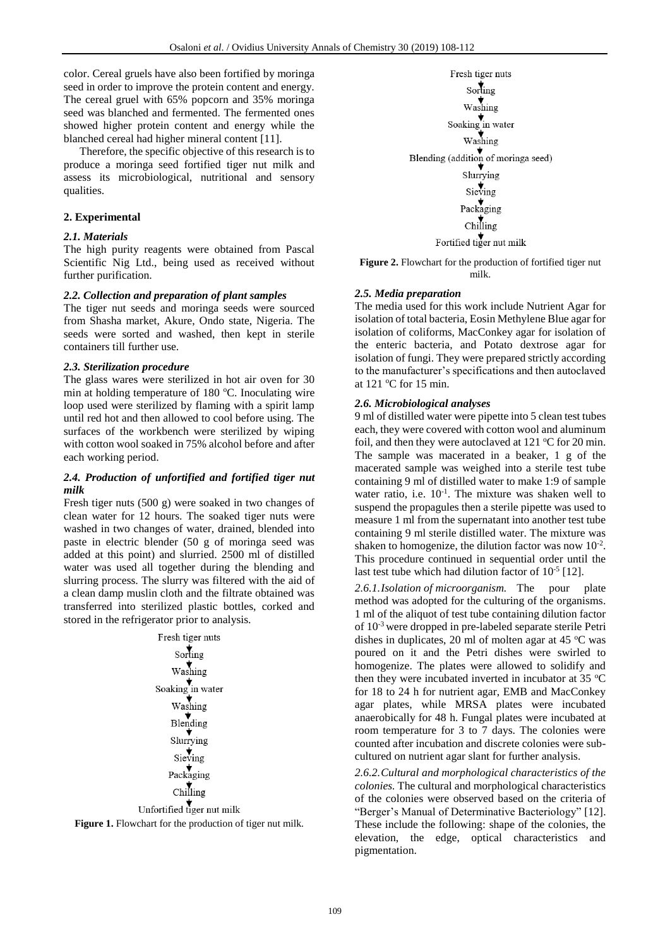color. Cereal gruels have also been fortified by moringa seed in order to improve the protein content and energy. The cereal gruel with 65% popcorn and 35% moringa seed was blanched and fermented. The fermented ones showed higher protein content and energy while the blanched cereal had higher mineral content [11].

Therefore, the specific objective of this research is to produce a moringa seed fortified tiger nut milk and assess its microbiological, nutritional and sensory qualities.

#### **2. Experimental**

## *2.1. Materials*

The high purity reagents were obtained from Pascal Scientific Nig Ltd., being used as received without further purification.

## *2.2. Collection and preparation of plant samples*

The tiger nut seeds and moringa seeds were sourced from Shasha market, Akure, Ondo state, Nigeria. The seeds were sorted and washed, then kept in sterile containers till further use.

#### *2.3. Sterilization procedure*

The glass wares were sterilized in hot air oven for 30 min at holding temperature of 180  $^{\circ}$ C. Inoculating wire loop used were sterilized by flaming with a spirit lamp until red hot and then allowed to cool before using. The surfaces of the workbench were sterilized by wiping with cotton wool soaked in 75% alcohol before and after each working period.

## *2.4. Production of unfortified and fortified tiger nut milk*

Fresh tiger nuts (500 g) were soaked in two changes of clean water for 12 hours. The soaked tiger nuts were washed in two changes of water, drained, blended into paste in electric blender (50 g of moringa seed was added at this point) and slurried. 2500 ml of distilled water was used all together during the blending and slurring process. The slurry was filtered with the aid of a clean damp muslin cloth and the filtrate obtained was transferred into sterilized plastic bottles, corked and stored in the refrigerator prior to analysis.



**Figure 1.** Flowchart for the production of tiger nut milk.

Fresh tiger nuts Sorting Washing Soaking in water Washing Blending (addition of moringa seed) Slurrying Sieving  $\downarrow$ Packaging  $Chilling$ Fortified tiger nut milk

**Figure 2.** Flowchart for the production of fortified tiger nut milk.

#### *2.5. Media preparation*

The media used for this work include Nutrient Agar for isolation of total bacteria, Eosin Methylene Blue agar for isolation of coliforms, MacConkey agar for isolation of the enteric bacteria, and Potato dextrose agar for isolation of fungi. They were prepared strictly according to the manufacturer's specifications and then autoclaved at  $121$  °C for 15 min.

#### *2.6. Microbiological analyses*

9 ml of distilled water were pipette into 5 clean test tubes each, they were covered with cotton wool and aluminum foil, and then they were autoclaved at  $121 \text{ °C}$  for 20 min. The sample was macerated in a beaker, 1 g of the macerated sample was weighed into a sterile test tube containing 9 ml of distilled water to make 1:9 of sample water ratio, i.e.  $10^{-1}$ . The mixture was shaken well to suspend the propagules then a sterile pipette was used to measure 1 ml from the supernatant into another test tube containing 9 ml sterile distilled water. The mixture was shaken to homogenize, the dilution factor was now  $10^{-2}$ . This procedure continued in sequential order until the last test tube which had dilution factor of  $10^{-5}$  [12].

*2.6.1.Isolation of microorganism.* The pour plate method was adopted for the culturing of the organisms. 1 ml of the aliquot of test tube containing dilution factor of 10-3 were dropped in pre-labeled separate sterile Petri dishes in duplicates, 20 ml of molten agar at 45  $^{\circ}$ C was poured on it and the Petri dishes were swirled to homogenize. The plates were allowed to solidify and then they were incubated inverted in incubator at  $35^{\circ}$ C for 18 to 24 h for nutrient agar, EMB and MacConkey agar plates, while MRSA plates were incubated anaerobically for 48 h. Fungal plates were incubated at room temperature for 3 to 7 days. The colonies were counted after incubation and discrete colonies were subcultured on nutrient agar slant for further analysis.

*2.6.2.Cultural and morphological characteristics of the colonies.* The cultural and morphological characteristics of the colonies were observed based on the criteria of "Berger's Manual of Determinative Bacteriology" [12]. These include the following: shape of the colonies, the elevation, the edge, optical characteristics and pigmentation.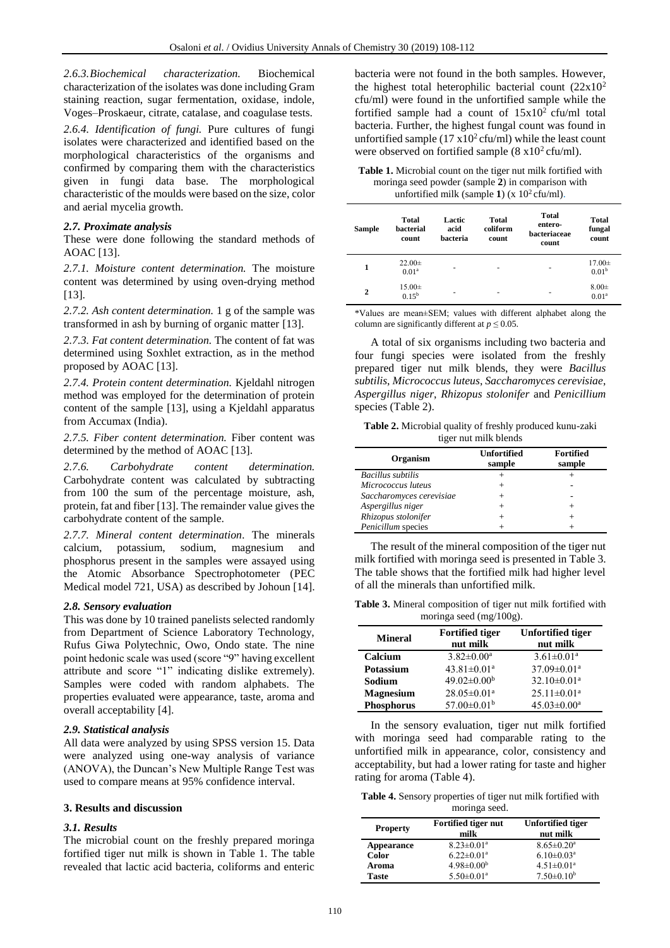*2.6.3.Biochemical characterization.* Biochemical characterization of the isolates was done including Gram staining reaction, sugar fermentation, oxidase, indole, Voges–Proskaeur, citrate, catalase, and coagulase tests.

*2.6.4. Identification of fungi.* Pure cultures of fungi isolates were characterized and identified based on the morphological characteristics of the organisms and confirmed by comparing them with the characteristics given in fungi data base. The morphological characteristic of the moulds were based on the size, color and aerial mycelia growth.

## *2.7. Proximate analysis*

These were done following the standard methods of AOAC [13].

*2.7.1. Moisture content determination.* The moisture content was determined by using oven-drying method [13].

*2.7.2. Ash content determination.* 1 g of the sample was transformed in ash by burning of organic matter [13].

*2.7.3. Fat content determination.* The content of fat was determined using Soxhlet extraction, as in the method proposed by AOAC [13].

*2.7.4. Protein content determination.* Kjeldahl nitrogen method was employed for the determination of protein content of the sample [13], using a Kjeldahl apparatus from Accumax (India).

*2.7.5. Fiber content determination.* Fiber content was determined by the method of AOAC [13].

*2.7.6. Carbohydrate content determination.* Carbohydrate content was calculated by subtracting from 100 the sum of the percentage moisture, ash, protein, fat and fiber [13]. The remainder value gives the carbohydrate content of the sample.

*2.7.7. Mineral content determination.* The minerals calcium, potassium, sodium, magnesium and phosphorus present in the samples were assayed using the Atomic Absorbance Spectrophotometer (PEC Medical model 721, USA) as described by Johoun [14].

## *2.8. Sensory evaluation*

This was done by 10 trained panelists selected randomly from Department of Science Laboratory Technology, Rufus Giwa Polytechnic, Owo, Ondo state. The nine point hedonic scale was used (score "9" having excellent attribute and score "1" indicating dislike extremely). Samples were coded with random alphabets. The properties evaluated were appearance, taste, aroma and overall acceptability [4].

## *2.9. Statistical analysis*

All data were analyzed by using SPSS version 15. Data were analyzed using one-way analysis of variance (ANOVA), the Duncan's New Multiple Range Test was used to compare means at 95% confidence interval.

## **3. Results and discussion**

# *3.1. Results*

The microbial count on the freshly prepared moringa fortified tiger nut milk is shown in Table 1. The table revealed that lactic acid bacteria, coliforms and enteric

bacteria were not found in the both samples. However, the highest total heterophilic bacterial count  $(22x10^2)$ cfu/ml) were found in the unfortified sample while the fortified sample had a count of  $15x10^2$  cfu/ml total bacteria. Further, the highest fungal count was found in unfortified sample  $(17 \times 10^2 \text{ cft/ml})$  while the least count were observed on fortified sample  $(8 \times 10^2 \text{ cfta/ml})$ .

**Table 1.** Microbial count on the tiger nut milk fortified with moringa seed powder (sample **2**) in comparison with unfortified milk (sample  $1$ ) (x  $10<sup>2</sup>$  cfu/ml).

| <b>Sample</b> | Total<br><b>hacterial</b><br>count | Lactic<br>acid<br>hacteria | Total<br>coliform<br>count | <b>Total</b><br>entero-<br>hacteriaceae<br>count | Total<br>fungal<br>count         |
|---------------|------------------------------------|----------------------------|----------------------------|--------------------------------------------------|----------------------------------|
| 1             | $22.00 \pm$<br>0.01 <sup>a</sup>   | ۰                          | ۰                          | ۰                                                | $17.00 \pm$<br>0.01 <sup>b</sup> |
| $\mathbf{2}$  | $15.00 \pm$<br>$0.15^{b}$          | ٠                          | ۰                          | ۰                                                | $8.00 \pm$<br>0.01 <sup>a</sup>  |

\*Values are mean±SEM; values with different alphabet along the column are significantly different at  $p \le 0.05$ .

A total of six organisms including two bacteria and four fungi species were isolated from the freshly prepared tiger nut milk blends, they were *Bacillus subtilis*, *Micrococcus luteus*, *Saccharomyces cerevisiae*, *Aspergillus niger*, *Rhizopus stolonifer* and *Penicillium* species (Table 2).

**Table 2.** Microbial quality of freshly produced kunu-zaki tiger nut milk blends

| Organism                 | <b>Unfortified</b><br>sample | <b>Fortified</b><br>sample |
|--------------------------|------------------------------|----------------------------|
| <b>Bacillus</b> subtilis |                              |                            |
| Micrococcus luteus       |                              |                            |
| Saccharomyces cerevisiae |                              |                            |
| Aspergillus niger        |                              |                            |
| Rhizopus stolonifer      |                              | $^+$                       |
| Penicillum species       |                              |                            |

The result of the mineral composition of the tiger nut milk fortified with moringa seed is presented in Table 3. The table shows that the fortified milk had higher level of all the minerals than unfortified milk.

**Table 3.** Mineral composition of tiger nut milk fortified with moringa seed (mg/100g).

| <b>Mineral</b>    | <b>Fortified tiger</b><br>nut milk | <b>Unfortified tiger</b><br>nut milk |
|-------------------|------------------------------------|--------------------------------------|
| Calcium           | $3.82 \pm 0.00^a$                  | $3.61 \pm 0.01^a$                    |
| Potassium         | $43.81 \pm 0.01$ <sup>a</sup>      | $37.09 \pm 0.01$ <sup>a</sup>        |
| Sodium            | $49.02 \pm 0.00^{\rm b}$           | $32.10 \pm 0.01$ <sup>a</sup>        |
| <b>Magnesium</b>  | $28.05 \pm 0.01$ <sup>a</sup>      | $25.11 \pm 0.01^a$                   |
| <b>Phosphorus</b> | $57.00 \pm 0.01^{\rm b}$           | $45.03 \pm 0.00^{\text{a}}$          |

In the sensory evaluation, tiger nut milk fortified with moringa seed had comparable rating to the unfortified milk in appearance, color, consistency and acceptability, but had a lower rating for taste and higher rating for aroma (Table 4).

**Table 4.** Sensory properties of tiger nut milk fortified with moringa seed.

| <b>Property</b> | Fortified tiger nut<br>milk  | <b>Unfortified tiger</b><br>nut milk |
|-----------------|------------------------------|--------------------------------------|
| Appearance      | $8.23 \pm 0.01$ <sup>a</sup> | $8.65 \pm 0.20$ <sup>a</sup>         |
| Color           | $6.22 \pm 0.01$ <sup>a</sup> | $6.10 \pm 0.03$ <sup>a</sup>         |
| Aroma           | $4.98 \pm 0.00^b$            | $4.51 \pm 0.01$ <sup>a</sup>         |
| Taste           | $5.50 \pm 0.01$ <sup>a</sup> | $7.50 \pm 0.10^b$                    |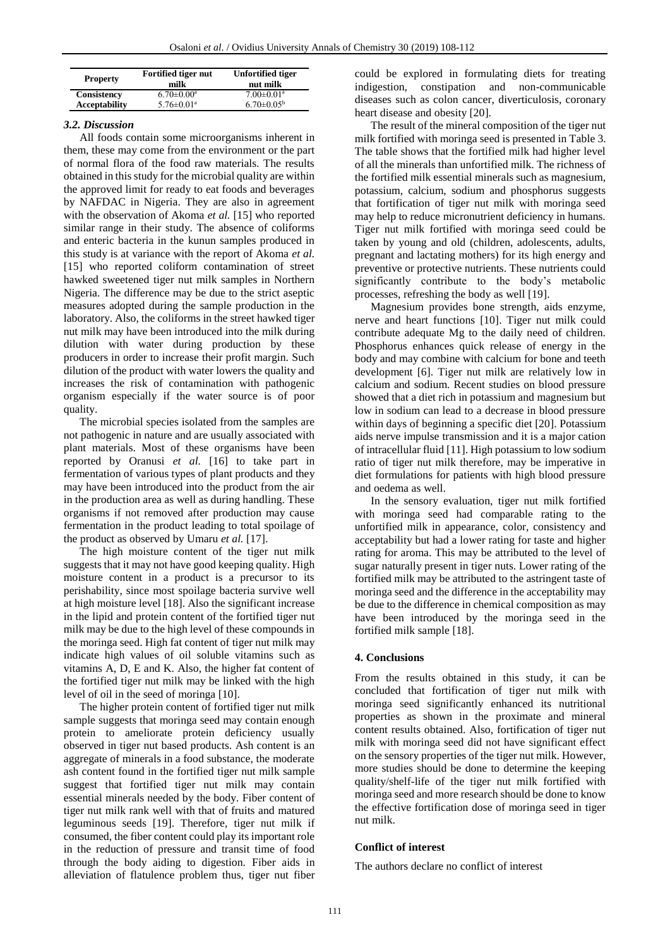| <b>Property</b>      | <b>Fortified tiger nut</b><br>milk | <b>Unfortified tiger</b><br>nut milk |
|----------------------|------------------------------------|--------------------------------------|
| Consistency          | $6.70 \pm 0.00^a$                  | $7.00 \pm 0.01$ <sup>a</sup>         |
| <b>Acceptability</b> | $5.76 \pm 0.01$ <sup>a</sup>       | $6.70 \pm 0.05^{\rm b}$              |

## *3.2. Discussion*

All foods contain some microorganisms inherent in them, these may come from the environment or the part of normal flora of the food raw materials. The results obtained in this study for the microbial quality are within the approved limit for ready to eat foods and beverages by NAFDAC in Nigeria. They are also in agreement with the observation of Akoma *et al.* [15] who reported similar range in their study. The absence of coliforms and enteric bacteria in the kunun samples produced in this study is at variance with the report of Akoma *et al.* [15] who reported coliform contamination of street hawked sweetened tiger nut milk samples in Northern Nigeria. The difference may be due to the strict aseptic measures adopted during the sample production in the laboratory. Also, the coliforms in the street hawked tiger nut milk may have been introduced into the milk during dilution with water during production by these producers in order to increase their profit margin. Such dilution of the product with water lowers the quality and increases the risk of contamination with pathogenic organism especially if the water source is of poor quality.

The microbial species isolated from the samples are not pathogenic in nature and are usually associated with plant materials. Most of these organisms have been reported by Oranusi *et al.* [16] to take part in fermentation of various types of plant products and they may have been introduced into the product from the air in the production area as well as during handling. These organisms if not removed after production may cause fermentation in the product leading to total spoilage of the product as observed by Umaru *et al.* [17].

The high moisture content of the tiger nut milk suggests that it may not have good keeping quality. High moisture content in a product is a precursor to its perishability, since most spoilage bacteria survive well at high moisture level [18]. Also the significant increase in the lipid and protein content of the fortified tiger nut milk may be due to the high level of these compounds in the moringa seed. High fat content of tiger nut milk may indicate high values of oil soluble vitamins such as vitamins A, D, E and K. Also, the higher fat content of the fortified tiger nut milk may be linked with the high level of oil in the seed of moringa [10].

The higher protein content of fortified tiger nut milk sample suggests that moringa seed may contain enough protein to ameliorate protein deficiency usually observed in tiger nut based products. Ash content is an aggregate of minerals in a food substance, the moderate ash content found in the fortified tiger nut milk sample suggest that fortified tiger nut milk may contain essential minerals needed by the body. Fiber content of tiger nut milk rank well with that of fruits and matured leguminous seeds [19]. Therefore, tiger nut milk if consumed, the fiber content could play its important role in the reduction of pressure and transit time of food through the body aiding to digestion. Fiber aids in alleviation of flatulence problem thus, tiger nut fiber

could be explored in formulating diets for treating indigestion, constipation and non-communicable diseases such as colon cancer, diverticulosis, coronary heart disease and obesity [20].

The result of the mineral composition of the tiger nut milk fortified with moringa seed is presented in Table 3. The table shows that the fortified milk had higher level of all the minerals than unfortified milk. The richness of the fortified milk essential minerals such as magnesium, potassium, calcium, sodium and phosphorus suggests that fortification of tiger nut milk with moringa seed may help to reduce micronutrient deficiency in humans. Tiger nut milk fortified with moringa seed could be taken by young and old (children, adolescents, adults, pregnant and lactating mothers) for its high energy and preventive or protective nutrients. These nutrients could significantly contribute to the body's metabolic processes, refreshing the body as well [19].

Magnesium provides bone strength, aids enzyme, nerve and heart functions [10]. Tiger nut milk could contribute adequate Mg to the daily need of children. Phosphorus enhances quick release of energy in the body and may combine with calcium for bone and teeth development [6]. Tiger nut milk are relatively low in calcium and sodium. Recent studies on blood pressure showed that a diet rich in potassium and magnesium but low in sodium can lead to a decrease in blood pressure within days of beginning a specific diet [20]. Potassium aids nerve impulse transmission and it is a major cation of intracellular fluid [11]. High potassium to low sodium ratio of tiger nut milk therefore, may be imperative in diet formulations for patients with high blood pressure and oedema as well.

In the sensory evaluation, tiger nut milk fortified with moringa seed had comparable rating to the unfortified milk in appearance, color, consistency and acceptability but had a lower rating for taste and higher rating for aroma. This may be attributed to the level of sugar naturally present in tiger nuts. Lower rating of the fortified milk may be attributed to the astringent taste of moringa seed and the difference in the acceptability may be due to the difference in chemical composition as may have been introduced by the moringa seed in the fortified milk sample [18].

## **4. Conclusions**

From the results obtained in this study, it can be concluded that fortification of tiger nut milk with moringa seed significantly enhanced its nutritional properties as shown in the proximate and mineral content results obtained. Also, fortification of tiger nut milk with moringa seed did not have significant effect on the sensory properties of the tiger nut milk. However, more studies should be done to determine the keeping quality/shelf-life of the tiger nut milk fortified with moringa seed and more research should be done to know the effective fortification dose of moringa seed in tiger nut milk.

# **Conflict of interest**

The authors declare no conflict of interest